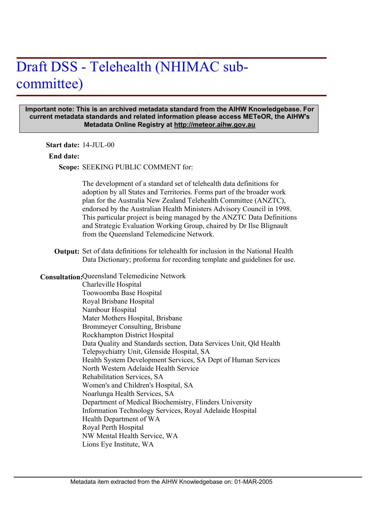# Draft DSS - Telehealth (NHIMAC subcommittee)

#### **Important note: This is an archived metadata standard from the AIHW Knowledgebase. For current metadata standards and related information please access METeOR, the AIHW's Metadata Online Registry at http://meteor.aihw.gov.au**

**Start date:** 14-JUL-00

#### **End date:**

Scope: SEEKING PUBLIC COMMENT for:

The development of a standard set of telehealth data definitions for adoption by all States and Territories. Forms part of the broader work plan for the Australia New Zealand Telehealth Committee (ANZTC), endorsed by the Australian Health Ministers Advisory Council in 1998. This particular project is being managed by the ANZTC Data Definitions and Strategic Evaluation Working Group, chaired by Dr Ilse Blignault from the Queensland Telemedicine Network.

Output: Set of data definitions for telehealth for inclusion in the National Health Data Dictionary; proforma for recording template and guidelines for use.

### **Consultation: Queensland Telemedicine Network**

Charleville Hospital Toowoomba Base Hospital Royal Brisbane Hospital Nambour Hospital Mater Mothers Hospital, Brisbane Brommeyer Consulting, Brisbane Rockhampton District Hospital Data Quality and Standards section, Data Services Unit, Qld Health Telepsychiatry Unit, Glenside Hospital, SA Health System Development Services, SA Dept of Human Services North Western Adelaide Health Service Rehabilitation Services, SA Women's and Children's Hospital, SA Noarlunga Health Services, SA Department of Medical Biochemistry, Flinders University Information Technology Services, Royal Adelaide Hospital Health Department of WA Royal Perth Hospital NW Mental Health Service, WA Lions Eye Institute, WA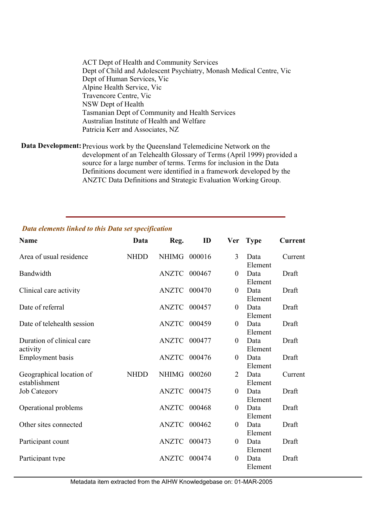ACT Dept of Health and Community Services Dept of Child and Adolescent Psychiatry, Monash Medical Centre, Vic Dept of Human Services, Vic Alpine Health Service, Vic Travencore Centre, Vic NSW Dept of Health Tasmanian Dept of Community and Health Services Australian Institute of Health and Welfare Patricia Kerr and Associates, NZ

Data Development: Previous work by the Queensland Telemedicine Network on the development of an Telehealth Glossary of Terms (April 1999) provided a source for a large number of terms. Terms for inclusion in the Data Definitions document were identified in a framework developed by the ANZTC Data Definitions and Strategic Evaluation Working Group.

| <b>Name</b>                               | Data        | Reg.                | ID     | Ver              | <b>Type</b>     | <b>Current</b> |
|-------------------------------------------|-------------|---------------------|--------|------------------|-----------------|----------------|
| Area of usual residence                   | <b>NHDD</b> | NHIMG 000016        |        | 3                | Data<br>Element | Current        |
| Bandwidth                                 |             | ANZTC               | 000467 | $\boldsymbol{0}$ | Data<br>Element | Draft          |
| Clinical care activity                    |             | ANZTC               | 000470 | $\theta$         | Data<br>Element | Draft          |
| Date of referral                          |             | ANZTC 000457        |        | $\boldsymbol{0}$ | Data<br>Element | Draft          |
| Date of telehealth session                |             | ANZTC               | 000459 | $\overline{0}$   | Data<br>Element | Draft          |
| Duration of clinical care<br>activity     |             | ANZTC 000477        |        | $\boldsymbol{0}$ | Data<br>Element | Draft          |
| <b>Employment</b> basis                   |             | ANZTC 000476        |        | $\theta$         | Data<br>Element | Draft          |
| Geographical location of<br>establishment | <b>NHDD</b> | <b>NHIMG</b>        | 000260 | 2                | Data<br>Element | Current        |
| <b>Job Category</b>                       |             | <b>ANZTC 000475</b> |        | $\boldsymbol{0}$ | Data<br>Element | Draft          |
| Operational problems                      |             | <b>ANZTC 000468</b> |        | $\theta$         | Data<br>Element | Draft          |
| Other sites connected                     |             | ANZTC               | 000462 | $\boldsymbol{0}$ | Data<br>Element | Draft          |
| Participant count                         |             | ANZTC               | 000473 | $\boldsymbol{0}$ | Data<br>Element | Draft          |
| Participant type                          |             | <b>ANZTC</b>        | 000474 | $\theta$         | Data<br>Element | Draft          |

## *Data elements linked to this Data set specification*